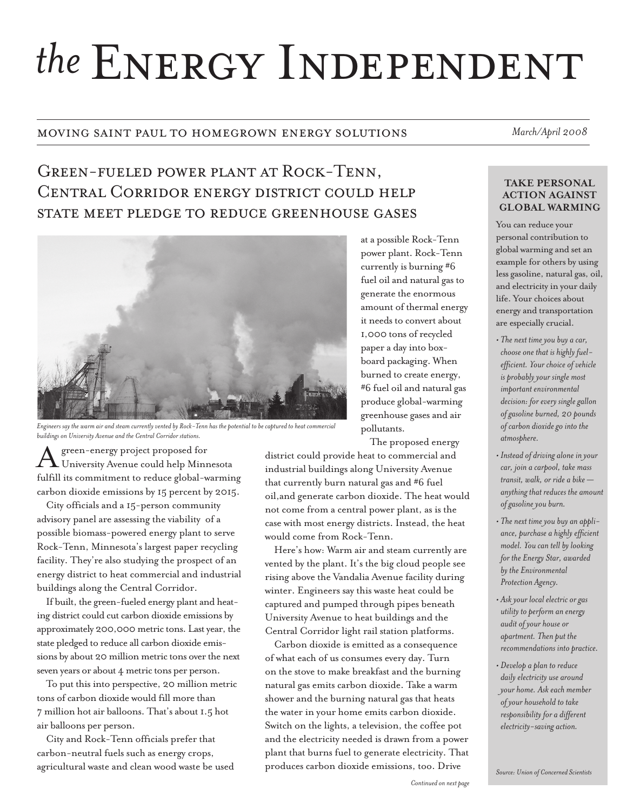# the ENERGY INDEPENDENT

### moving saint paul to homegrown energy solutions *March/April 2008*

# Green-fueled power plant at Rock-Tenn, Central Corridor energy district could help state meet pledge to reduce greenhouse gases



*Engineers say the warm air and steam currently vented by Rock-Tenn has the potential to be captured to heat commercial buildings on University Avenue and the Central Corridor stations.*

green-energy project proposed for University Avenue could help Minnesota fulfill its commitment to reduce global-warming carbon dioxide emissions by 15 percent by 2015.

City officials and a 15-person community advisory panel are assessing the viability of a possible biomass-powered energy plant to serve Rock-Tenn, Minnesota's largest paper recycling facility. They're also studying the prospect of an energy district to heat commercial and industrial buildings along the Central Corridor.

If built, the green-fueled energy plant and heating district could cut carbon dioxide emissions by approximately 200,000 metric tons. Last year, the state pledged to reduce all carbon dioxide emissions by about 20 million metric tons over the next seven years or about 4 metric tons per person.

To put this into perspective, 20 million metric tons of carbon dioxide would fill more than 7 million hot air balloons. That's about 1.5 hot air balloons per person.

City and Rock-Tenn officials prefer that carbon-neutral fuels such as energy crops, agricultural waste and clean wood waste be used

generate the enormous amount of thermal energy it needs to convert about 1,000 tons of recycled paper a day into boxboard packaging. When burned to create energy, #6 fuel oil and natural gas produce global-warming greenhouse gases and air pollutants. The proposed energy district could provide heat to commercial and industrial buildings along University Avenue

at a possible Rock-Tenn power plant. Rock-Tenn currently is burning #6 fuel oil and natural gas to

that currently burn natural gas and #6 fuel oil,and generate carbon dioxide. The heat would not come from a central power plant, as is the case with most energy districts. Instead, the heat would come from Rock-Tenn.

Here's how: Warm air and steam currently are vented by the plant. It's the big cloud people see rising above the Vandalia Avenue facility during winter. Engineers say this waste heat could be captured and pumped through pipes beneath University Avenue to heat buildings and the Central Corridor light rail station platforms.

Carbon dioxide is emitted as a consequence of what each of us consumes every day. Turn on the stove to make breakfast and the burning natural gas emits carbon dioxide. Take a warm shower and the burning natural gas that heats the water in your home emits carbon dioxide. Switch on the lights, a television, the coffee pot and the electricity needed is drawn from a power plant that burns fuel to generate electricity. That produces carbon dioxide emissions, too. Drive

#### **take personal action against global warming**

You can reduce your personal contribution to global warming and set an example for others by using less gasoline, natural gas, oil, and electricity in your daily life. Your choices about energy and transportation are especially crucial.

- *The next time you buy a car, choose one that is highly fuelefficient. Your choice of vehicle is probably your single most important environmental decision: for every single gallon of gasoline burned, 20 pounds of carbon dioxide go into the atmosphere.*
- *Instead of driving alone in your car, join a carpool, take mass transit, walk, or ride a bike anything that reduces the amount of gasoline you burn.*
- *The next time you buy an appliance, purchase a highly efficient model. You can tell by looking for the Energy Star, awarded by the Environmental Protection Agency.*
- *Ask your local electric or gas utility to perform an energy audit of your house or apartment. Then put the recommendations into practice.*
- *Develop a plan to reduce daily electricity use around your home. Ask each member of your household to take responsibility for a different electricity-saving action.*